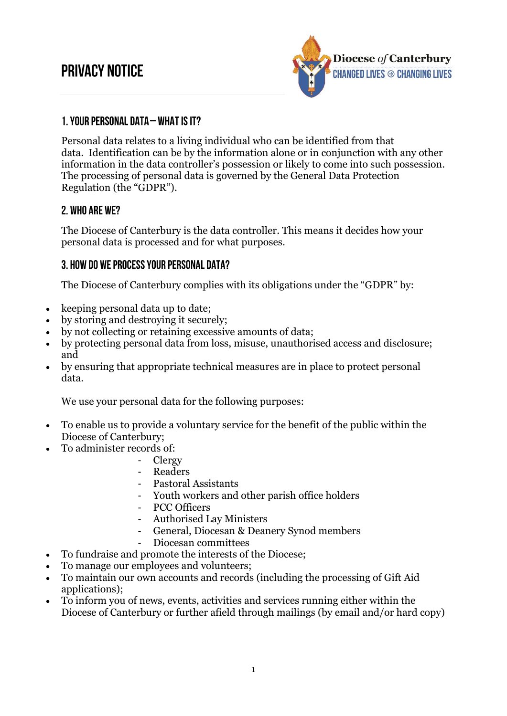# **PRIVACY NOTICE**



### 1. YOUR PERSONAL DATA - WHAT IS IT?

Personal data relates to a living individual who can be identified from that data. Identification can be by the information alone or in conjunction with any other information in the data controller's possession or likely to come into such possession. The processing of personal data is governed by the General Data Protection Regulation (the "GDPR").

#### 2. WHO ARE WE?

The Diocese of Canterbury is the data controller. This means it decides how your personal data is processed and for what purposes.

#### 3. HOW DO WE PROCESS YOUR PERSONAL DATA?

The Diocese of Canterbury complies with its obligations under the "GDPR" by:

- keeping personal data up to date;
- by storing and destroying it securely;
- by not collecting or retaining excessive amounts of data;
- by protecting personal data from loss, misuse, unauthorised access and disclosure; and
- by ensuring that appropriate technical measures are in place to protect personal data.

We use your personal data for the following purposes:

- To enable us to provide a voluntary service for the benefit of the public within the Diocese of Canterbury;
- To administer records of:
	- Clergy
		- **Readers**
		- Pastoral Assistants
	- Youth workers and other parish office holders
	- PCC Officers
	- Authorised Lay Ministers
	- General, Diocesan & Deanery Synod members
	- Diocesan committees
- To fundraise and promote the interests of the Diocese;
- To manage our employees and volunteers;
- To maintain our own accounts and records (including the processing of Gift Aid applications);
- To inform you of news, events, activities and services running either within the Diocese of Canterbury or further afield through mailings (by email and/or hard copy)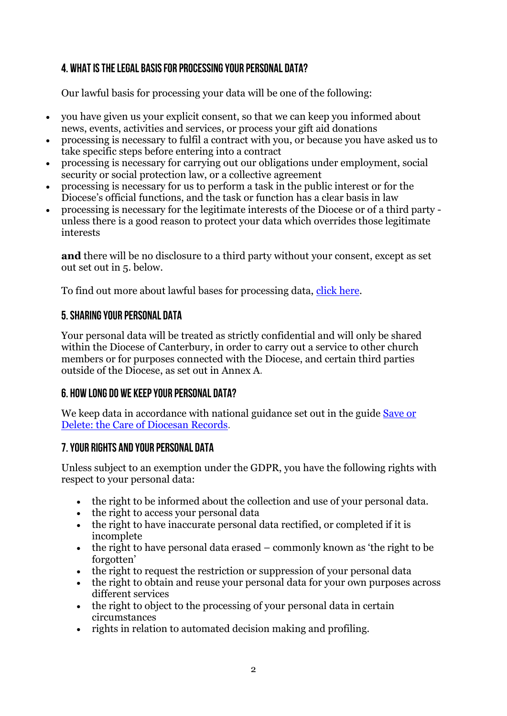## 4. WHAT IS THE LEGAL BASIS FOR PROCESSING YOUR PERSONAL DATA?

Our lawful basis for processing your data will be one of the following:

- you have given us your explicit consent, so that we can keep you informed about news, events, activities and services, or process your gift aid donations
- processing is necessary to fulfil a contract with you, or because you have asked us to take specific steps before entering into a contract
- processing is necessary for carrying out our obligations under employment, social security or social protection law, or a collective agreement
- processing is necessary for us to perform a task in the public interest or for the Diocese's official functions, and the task or function has a clear basis in law
- processing is necessary for the legitimate interests of the Diocese or of a third party unless there is a good reason to protect your data which overrides those legitimate interests

**and** there will be no disclosure to a third party without your consent, except as set out set out in 5. below.

To find out more about lawful bases for processing data, [click here.](https://ico.org.uk/for-organisations/guide-to-the-general-data-protection-regulation-gdpr/lawful-basis-for-processing/)

#### 5. SHARING YOUR PERSONAL DATA

Your personal data will be treated as strictly confidential and will only be shared within the Diocese of Canterbury, in order to carry out a service to other church members or for purposes connected with the Diocese, and certain third parties outside of the Diocese, as set out in Annex A.

#### 6. HOW LONG DO WE KEEP YOUR PERSONAL DATA?

We keep data in accordance with national guidance set out in the guide Save or [Delete: the Care of Diocesan Records.](https://www.churchofengland.org/more/libraries-and-archives/records-management-guides)

#### 7. YOUR RIGHTS AND YOUR PERSONAL DATA

Unless subject to an exemption under the GDPR, you have the following rights with respect to your personal data:

- the right to be informed about the collection and use of your personal data.
- the right to access your personal data
- the right to have inaccurate personal data rectified, or completed if it is incomplete
- $\bullet$  the right to have personal data erased commonly known as 'the right to be forgotten'
- the right to request the restriction or suppression of your personal data
- the right to obtain and reuse your personal data for your own purposes across different services
- the right to object to the processing of your personal data in certain circumstances
- rights in relation to automated decision making and profiling.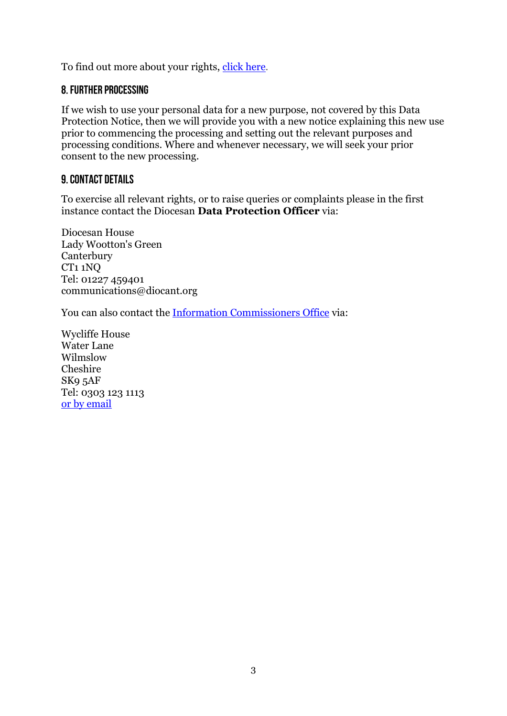To find out more about your rights, [click here.](https://ico.org.uk/for-organisations/guide-to-the-general-data-protection-regulation-gdpr/individual-rights/)

#### **8. FURTHER PROCESSING**

If we wish to use your personal data for a new purpose, not covered by this Data Protection Notice, then we will provide you with a new notice explaining this new use prior to commencing the processing and setting out the relevant purposes and processing conditions. Where and whenever necessary, we will seek your prior consent to the new processing.

#### **9. CONTACT DETAILS**

To exercise all relevant rights, or to raise queries or complaints please in the first instance contact the Diocesan **Data Protection Officer** via:

Diocesan House Lady Wootton's Green **Canterbury** CT1 1NQ Tel: 01227 459401 communications@diocant.org

You can also contact the [Information Commissioners Office](https://ico.org.uk/) via:

Wycliffe House Water Lane Wilmslow Cheshire SK9 5AF Tel: 0303 123 1113 [or by email](https://ico.org.uk/global/contact-us/email/)